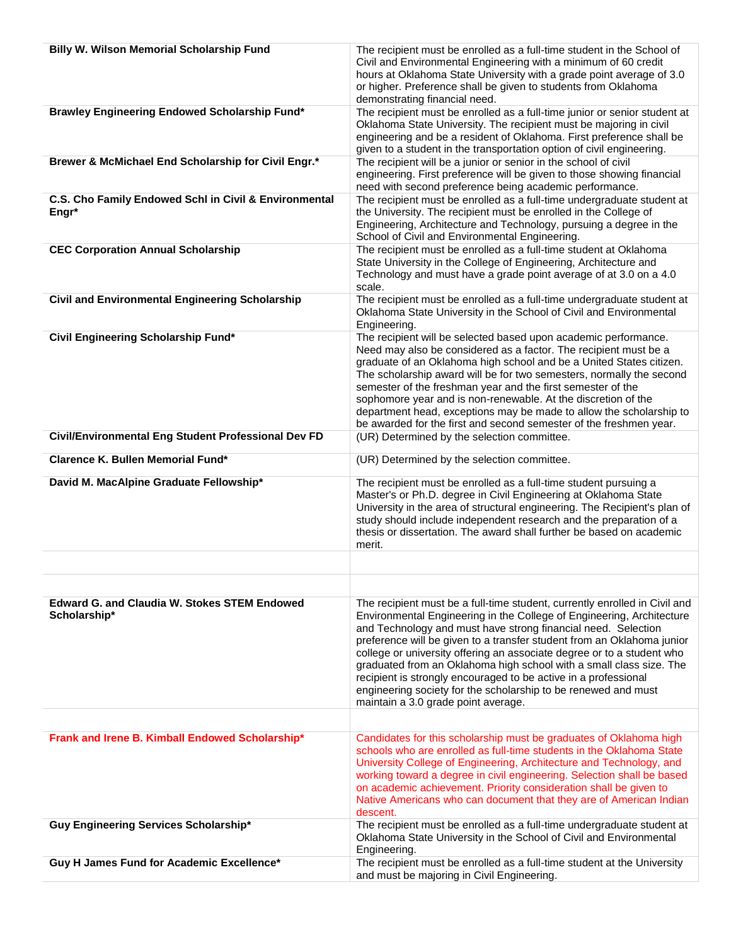| <b>Billy W. Wilson Memorial Scholarship Fund</b>                    | The recipient must be enrolled as a full-time student in the School of<br>Civil and Environmental Engineering with a minimum of 60 credit<br>hours at Oklahoma State University with a grade point average of 3.0<br>or higher. Preference shall be given to students from Oklahoma<br>demonstrating financial need.                                                                                                                                                                                                                                                                                                        |
|---------------------------------------------------------------------|-----------------------------------------------------------------------------------------------------------------------------------------------------------------------------------------------------------------------------------------------------------------------------------------------------------------------------------------------------------------------------------------------------------------------------------------------------------------------------------------------------------------------------------------------------------------------------------------------------------------------------|
| Brawley Engineering Endowed Scholarship Fund*                       | The recipient must be enrolled as a full-time junior or senior student at<br>Oklahoma State University. The recipient must be majoring in civil<br>engineering and be a resident of Oklahoma. First preference shall be<br>given to a student in the transportation option of civil engineering.                                                                                                                                                                                                                                                                                                                            |
| Brewer & McMichael End Scholarship for Civil Engr.*                 | The recipient will be a junior or senior in the school of civil<br>engineering. First preference will be given to those showing financial<br>need with second preference being academic performance.                                                                                                                                                                                                                                                                                                                                                                                                                        |
| C.S. Cho Family Endowed Schl in Civil & Environmental<br>Engr*      | The recipient must be enrolled as a full-time undergraduate student at<br>the University. The recipient must be enrolled in the College of<br>Engineering, Architecture and Technology, pursuing a degree in the<br>School of Civil and Environmental Engineering.                                                                                                                                                                                                                                                                                                                                                          |
| <b>CEC Corporation Annual Scholarship</b>                           | The recipient must be enrolled as a full-time student at Oklahoma<br>State University in the College of Engineering, Architecture and<br>Technology and must have a grade point average of at 3.0 on a 4.0<br>scale.                                                                                                                                                                                                                                                                                                                                                                                                        |
| <b>Civil and Environmental Engineering Scholarship</b>              | The recipient must be enrolled as a full-time undergraduate student at<br>Oklahoma State University in the School of Civil and Environmental<br>Engineering.                                                                                                                                                                                                                                                                                                                                                                                                                                                                |
| Civil Engineering Scholarship Fund*                                 | The recipient will be selected based upon academic performance.<br>Need may also be considered as a factor. The recipient must be a<br>graduate of an Oklahoma high school and be a United States citizen.<br>The scholarship award will be for two semesters, normally the second<br>semester of the freshman year and the first semester of the<br>sophomore year and is non-renewable. At the discretion of the<br>department head, exceptions may be made to allow the scholarship to<br>be awarded for the first and second semester of the freshmen year.                                                             |
| Civil/Environmental Eng Student Professional Dev FD                 | (UR) Determined by the selection committee.                                                                                                                                                                                                                                                                                                                                                                                                                                                                                                                                                                                 |
| Clarence K. Bullen Memorial Fund*                                   | (UR) Determined by the selection committee.                                                                                                                                                                                                                                                                                                                                                                                                                                                                                                                                                                                 |
| David M. MacAlpine Graduate Fellowship*                             | The recipient must be enrolled as a full-time student pursuing a<br>Master's or Ph.D. degree in Civil Engineering at Oklahoma State<br>University in the area of structural engineering. The Recipient's plan of<br>study should include independent research and the preparation of a<br>thesis or dissertation. The award shall further be based on academic<br>merit.                                                                                                                                                                                                                                                    |
|                                                                     |                                                                                                                                                                                                                                                                                                                                                                                                                                                                                                                                                                                                                             |
|                                                                     |                                                                                                                                                                                                                                                                                                                                                                                                                                                                                                                                                                                                                             |
| <b>Edward G. and Claudia W. Stokes STEM Endowed</b><br>Scholarship* | The recipient must be a full-time student, currently enrolled in Civil and<br>Environmental Engineering in the College of Engineering, Architecture<br>and Technology and must have strong financial need. Selection<br>preference will be given to a transfer student from an Oklahoma junior<br>college or university offering an associate degree or to a student who<br>graduated from an Oklahoma high school with a small class size. The<br>recipient is strongly encouraged to be active in a professional<br>engineering society for the scholarship to be renewed and must<br>maintain a 3.0 grade point average. |
|                                                                     |                                                                                                                                                                                                                                                                                                                                                                                                                                                                                                                                                                                                                             |
| Frank and Irene B. Kimball Endowed Scholarship*                     | Candidates for this scholarship must be graduates of Oklahoma high<br>schools who are enrolled as full-time students in the Oklahoma State<br>University College of Engineering, Architecture and Technology, and<br>working toward a degree in civil engineering. Selection shall be based<br>on academic achievement. Priority consideration shall be given to<br>Native Americans who can document that they are of American Indian<br>descent.                                                                                                                                                                          |
| Guy Engineering Services Scholarship*                               | The recipient must be enrolled as a full-time undergraduate student at<br>Oklahoma State University in the School of Civil and Environmental<br>Engineering.                                                                                                                                                                                                                                                                                                                                                                                                                                                                |
| Guy H James Fund for Academic Excellence*                           | The recipient must be enrolled as a full-time student at the University<br>and must be majoring in Civil Engineering.                                                                                                                                                                                                                                                                                                                                                                                                                                                                                                       |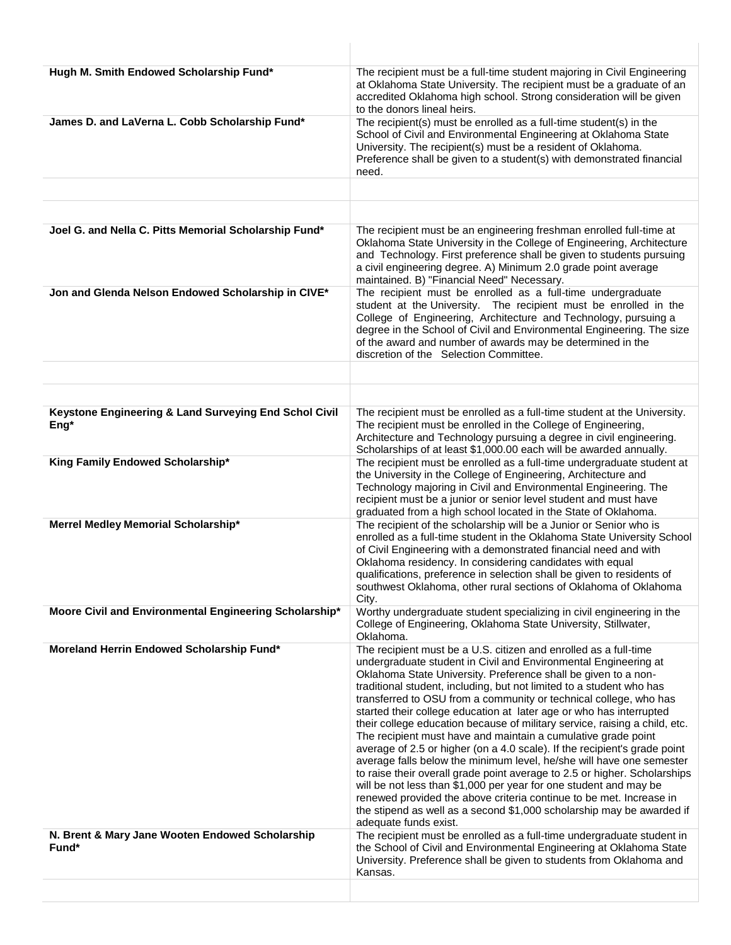| Hugh M. Smith Endowed Scholarship Fund*                       | The recipient must be a full-time student majoring in Civil Engineering<br>at Oklahoma State University. The recipient must be a graduate of an<br>accredited Oklahoma high school. Strong consideration will be given<br>to the donors lineal heirs.                                                                                                                                                                                                                                                                                                                                                                                                                                                                                                                                                                                                                                                                                                                                                                                                    |
|---------------------------------------------------------------|----------------------------------------------------------------------------------------------------------------------------------------------------------------------------------------------------------------------------------------------------------------------------------------------------------------------------------------------------------------------------------------------------------------------------------------------------------------------------------------------------------------------------------------------------------------------------------------------------------------------------------------------------------------------------------------------------------------------------------------------------------------------------------------------------------------------------------------------------------------------------------------------------------------------------------------------------------------------------------------------------------------------------------------------------------|
| James D. and LaVerna L. Cobb Scholarship Fund*                | The recipient(s) must be enrolled as a full-time student(s) in the<br>School of Civil and Environmental Engineering at Oklahoma State<br>University. The recipient(s) must be a resident of Oklahoma.<br>Preference shall be given to a student(s) with demonstrated financial<br>need.                                                                                                                                                                                                                                                                                                                                                                                                                                                                                                                                                                                                                                                                                                                                                                  |
|                                                               |                                                                                                                                                                                                                                                                                                                                                                                                                                                                                                                                                                                                                                                                                                                                                                                                                                                                                                                                                                                                                                                          |
|                                                               |                                                                                                                                                                                                                                                                                                                                                                                                                                                                                                                                                                                                                                                                                                                                                                                                                                                                                                                                                                                                                                                          |
| Joel G. and Nella C. Pitts Memorial Scholarship Fund*         | The recipient must be an engineering freshman enrolled full-time at<br>Oklahoma State University in the College of Engineering, Architecture<br>and Technology. First preference shall be given to students pursuing<br>a civil engineering degree. A) Minimum 2.0 grade point average<br>maintained. B) "Financial Need" Necessary.                                                                                                                                                                                                                                                                                                                                                                                                                                                                                                                                                                                                                                                                                                                     |
| Jon and Glenda Nelson Endowed Scholarship in CIVE*            | The recipient must be enrolled as a full-time undergraduate<br>student at the University. The recipient must be enrolled in the<br>College of Engineering, Architecture and Technology, pursuing a<br>degree in the School of Civil and Environmental Engineering. The size<br>of the award and number of awards may be determined in the<br>discretion of the Selection Committee.                                                                                                                                                                                                                                                                                                                                                                                                                                                                                                                                                                                                                                                                      |
|                                                               |                                                                                                                                                                                                                                                                                                                                                                                                                                                                                                                                                                                                                                                                                                                                                                                                                                                                                                                                                                                                                                                          |
|                                                               |                                                                                                                                                                                                                                                                                                                                                                                                                                                                                                                                                                                                                                                                                                                                                                                                                                                                                                                                                                                                                                                          |
| Keystone Engineering & Land Surveying End Schol Civil<br>Eng* | The recipient must be enrolled as a full-time student at the University.<br>The recipient must be enrolled in the College of Engineering,<br>Architecture and Technology pursuing a degree in civil engineering.<br>Scholarships of at least \$1,000.00 each will be awarded annually.                                                                                                                                                                                                                                                                                                                                                                                                                                                                                                                                                                                                                                                                                                                                                                   |
| King Family Endowed Scholarship*                              | The recipient must be enrolled as a full-time undergraduate student at<br>the University in the College of Engineering, Architecture and<br>Technology majoring in Civil and Environmental Engineering. The<br>recipient must be a junior or senior level student and must have<br>graduated from a high school located in the State of Oklahoma.                                                                                                                                                                                                                                                                                                                                                                                                                                                                                                                                                                                                                                                                                                        |
| Merrel Medley Memorial Scholarship*                           | The recipient of the scholarship will be a Junior or Senior who is<br>enrolled as a full-time student in the Oklahoma State University School<br>of Civil Engineering with a demonstrated financial need and with<br>Oklahoma residency. In considering candidates with equal<br>qualifications, preference in selection shall be given to residents of<br>southwest Oklahoma, other rural sections of Oklahoma of Oklahoma<br>City.                                                                                                                                                                                                                                                                                                                                                                                                                                                                                                                                                                                                                     |
| Moore Civil and Environmental Engineering Scholarship*        | Worthy undergraduate student specializing in civil engineering in the<br>College of Engineering, Oklahoma State University, Stillwater,<br>Oklahoma.                                                                                                                                                                                                                                                                                                                                                                                                                                                                                                                                                                                                                                                                                                                                                                                                                                                                                                     |
| Moreland Herrin Endowed Scholarship Fund*                     | The recipient must be a U.S. citizen and enrolled as a full-time<br>undergraduate student in Civil and Environmental Engineering at<br>Oklahoma State University. Preference shall be given to a non-<br>traditional student, including, but not limited to a student who has<br>transferred to OSU from a community or technical college, who has<br>started their college education at later age or who has interrupted<br>their college education because of military service, raising a child, etc.<br>The recipient must have and maintain a cumulative grade point<br>average of 2.5 or higher (on a 4.0 scale). If the recipient's grade point<br>average falls below the minimum level, he/she will have one semester<br>to raise their overall grade point average to 2.5 or higher. Scholarships<br>will be not less than \$1,000 per year for one student and may be<br>renewed provided the above criteria continue to be met. Increase in<br>the stipend as well as a second \$1,000 scholarship may be awarded if<br>adequate funds exist. |
| N. Brent & Mary Jane Wooten Endowed Scholarship<br>Fund*      | The recipient must be enrolled as a full-time undergraduate student in<br>the School of Civil and Environmental Engineering at Oklahoma State<br>University. Preference shall be given to students from Oklahoma and<br>Kansas.                                                                                                                                                                                                                                                                                                                                                                                                                                                                                                                                                                                                                                                                                                                                                                                                                          |
|                                                               |                                                                                                                                                                                                                                                                                                                                                                                                                                                                                                                                                                                                                                                                                                                                                                                                                                                                                                                                                                                                                                                          |